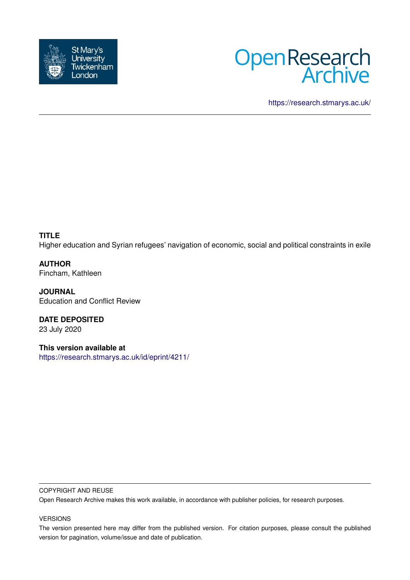



<https://research.stmarys.ac.uk/>

**TITLE** Higher education and Syrian refugees' navigation of economic, social and political constraints in exile

**AUTHOR** Fincham, Kathleen

**JOURNAL** Education and Conflict Review

**DATE DEPOSITED** 23 July 2020

**This version available at** <https://research.stmarys.ac.uk/id/eprint/4211/>

#### COPYRIGHT AND REUSE

Open Research Archive makes this work available, in accordance with publisher policies, for research purposes.

#### VERSIONS

The version presented here may differ from the published version. For citation purposes, please consult the published version for pagination, volume/issue and date of publication.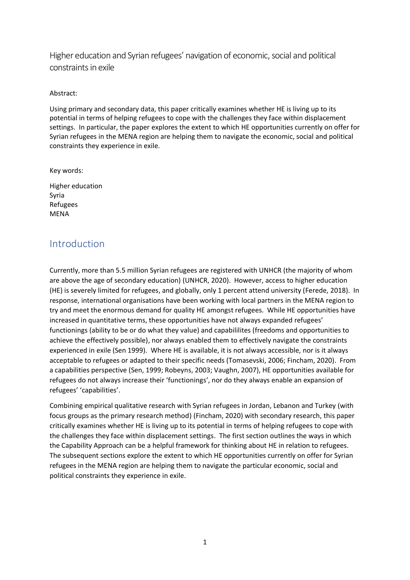Higher education and Syrian refugees' navigation of economic, social and political constraints in exile

#### Abstract:

Using primary and secondary data, this paper critically examines whether HE is living up to its potential in terms of helping refugees to cope with the challenges they face within displacement settings. In particular, the paper explores the extent to which HE opportunities currently on offer for Syrian refugees in the MENA region are helping them to navigate the economic, social and political constraints they experience in exile.

Key words:

Higher education Syria Refugees MENA

# Introduction

Currently, more than 5.5 million Syrian refugees are registered with UNHCR (the majority of whom are above the age of secondary education) (UNHCR, 2020). However, access to higher education (HE) is severely limited for refugees, and globally, only 1 percent attend university (Ferede, 2018). In response, international organisations have been working with local partners in the MENA region to try and meet the enormous demand for quality HE amongst refugees. While HE opportunities have increased in quantitative terms, these opportunities have not always expanded refugees' functionings (ability to be or do what they value) and capabililites (freedoms and opportunities to achieve the effectively possible), nor always enabled them to effectively navigate the constraints experienced in exile (Sen 1999). Where HE is available, it is not always accessible, nor is it always acceptable to refugees or adapted to their specific needs (Tomasevski, 2006; Fincham, 2020). From a capabilities perspective (Sen, 1999; Robeyns, 2003; Vaughn, 2007), HE opportunities available for refugees do not always increase their 'functionings', nor do they always enable an expansion of refugees' 'capabilities'.

Combining empirical qualitative research with Syrian refugees in Jordan, Lebanon and Turkey (with focus groups as the primary research method) (Fincham, 2020) with secondary research, this paper critically examines whether HE is living up to its potential in terms of helping refugees to cope with the challenges they face within displacement settings. The first section outlines the ways in which the Capability Approach can be a helpful framework for thinking about HE in relation to refugees. The subsequent sections explore the extent to which HE opportunities currently on offer for Syrian refugees in the MENA region are helping them to navigate the particular economic, social and political constraints they experience in exile.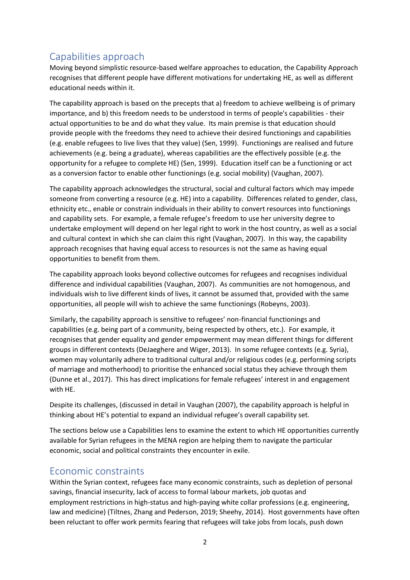# Capabilities approach

Moving beyond simplistic resource-based welfare approaches to education, the Capability Approach recognises that different people have different motivations for undertaking HE, as well as different educational needs within it.

The capability approach is based on the precepts that a) freedom to achieve wellbeing is of primary importance, and b) this freedom needs to be understood in terms of people's capabilities - their actual opportunities to be and do what they value. Its main premise is that education should provide people with the freedoms they need to achieve their desired functionings and capabilities (e.g. enable refugees to live lives that they value) (Sen, 1999). Functionings are realised and future achievements (e.g. being a graduate), whereas capabilities are the effectively possible (e.g. the opportunity for a refugee to complete HE) (Sen, 1999). Education itself can be a functioning or act as a conversion factor to enable other functionings (e.g. social mobility) (Vaughan, 2007).

The capability approach acknowledges the structural, social and cultural factors which may impede someone from converting a resource (e.g. HE) into a capability. Differences related to gender, class, ethnicity etc., enable or constrain individuals in their ability to convert resources into functionings and capability sets. For example, a female refugee's freedom to use her university degree to undertake employment will depend on her legal right to work in the host country, as well as a social and cultural context in which she can claim this right (Vaughan, 2007). In this way, the capability approach recognises that having equal access to resources is not the same as having equal opportunities to benefit from them.

The capability approach looks beyond collective outcomes for refugees and recognises individual difference and individual capabilities (Vaughan, 2007). As communities are not homogenous, and individuals wish to live different kinds of lives, it cannot be assumed that, provided with the same opportunities, all people will wish to achieve the same functionings (Robeyns, 2003).

Similarly, the capability approach is sensitive to refugees' non-financial functionings and capabilities (e.g. being part of a community, being respected by others, etc.). For example, it recognises that gender equality and gender empowerment may mean different things for different groups in different contexts (DeJaeghere and Wiger, 2013). In some refugee contexts (e.g. Syria), women may voluntarily adhere to traditional cultural and/or religious codes (e.g. performing scripts of marriage and motherhood) to prioritise the enhanced social status they achieve through them (Dunne et al., 2017). This has direct implications for female refugees' interest in and engagement with HE.

Despite its challenges, (discussed in detail in Vaughan (2007), the capability approach is helpful in thinking about HE's potential to expand an individual refugee's overall capability set.

The sections below use a Capabilities lens to examine the extent to which HE opportunities currently available for Syrian refugees in the MENA region are helping them to navigate the particular economic, social and political constraints they encounter in exile.

## Economic constraints

Within the Syrian context, refugees face many economic constraints, such as depletion of personal savings, financial insecurity, lack of access to formal labour markets, job quotas and employment restrictions in high-status and high-paying white collar professions (e.g. engineering, law and medicine) (Tiltnes, Zhang and Pederson, 2019; Sheehy, 2014). Host governments have often been reluctant to offer work permits fearing that refugees will take jobs from locals, push down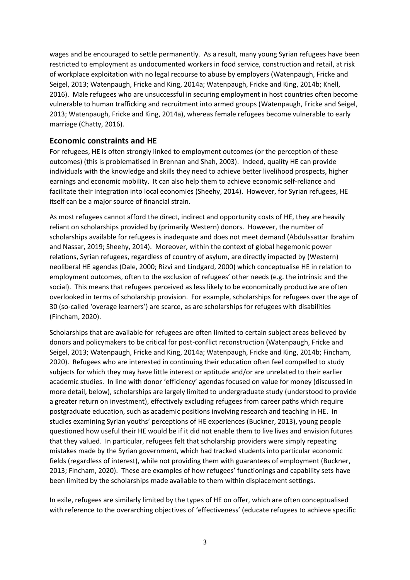wages and be encouraged to settle permanently. As a result, many young Syrian refugees have been restricted to employment as undocumented workers in food service, construction and retail, at risk of workplace exploitation with no legal recourse to abuse by employers (Watenpaugh, Fricke and Seigel, 2013; Watenpaugh, Fricke and King, 2014a; Watenpaugh, Fricke and King, 2014b; Knell, 2016). Male refugees who are unsuccessful in securing employment in host countries often become vulnerable to human trafficking and recruitment into armed groups (Watenpaugh, Fricke and Seigel, 2013; Watenpaugh, Fricke and King, 2014a), whereas female refugees become vulnerable to early marriage (Chatty, 2016).

### **Economic constraints and HE**

For refugees, HE is often strongly linked to employment outcomes (or the perception of these outcomes) (this is problematised in Brennan and Shah, 2003). Indeed, quality HE can provide individuals with the knowledge and skills they need to achieve better livelihood prospects, higher earnings and economic mobility. It can also help them to achieve economic self-reliance and facilitate their integration into local economies (Sheehy, 2014). However, for Syrian refugees, HE itself can be a major source of financial strain.

As most refugees cannot afford the direct, indirect and opportunity costs of HE, they are heavily reliant on scholarships provided by (primarily Western) donors. However, the number of scholarships available for refugees is inadequate and does not meet demand (Abdulssattar Ibrahim and Nassar, 2019; Sheehy, 2014). Moreover, within the context of global hegemonic power relations, Syrian refugees, regardless of country of asylum, are directly impacted by (Western) neoliberal HE agendas (Dale, 2000; Rizvi and Lindgard, 2000) which conceptualise HE in relation to employment outcomes, often to the exclusion of refugees' other needs (e.g. the intrinsic and the social). This means that refugees perceived as less likely to be economically productive are often overlooked in terms of scholarship provision. For example, scholarships for refugees over the age of 30 (so-called 'overage learners') are scarce, as are scholarships for refugees with disabilities (Fincham, 2020).

Scholarships that are available for refugees are often limited to certain subject areas believed by donors and policymakers to be critical for post-conflict reconstruction (Watenpaugh, Fricke and Seigel, 2013; Watenpaugh, Fricke and King, 2014a; Watenpaugh, Fricke and King, 2014b; Fincham, 2020). Refugees who are interested in continuing their education often feel compelled to study subjects for which they may have little interest or aptitude and/or are unrelated to their earlier academic studies. In line with donor 'efficiency' agendas focused on value for money (discussed in more detail, below), scholarships are largely limited to undergraduate study (understood to provide a greater return on investment), effectively excluding refugees from career paths which require postgraduate education, such as academic positions involving research and teaching in HE. In studies examining Syrian youths' perceptions of HE experiences (Buckner, 2013), young people questioned how useful their HE would be if it did not enable them to live lives and envision futures that they valued. In particular, refugees felt that scholarship providers were simply repeating mistakes made by the Syrian government, which had tracked students into particular economic fields (regardless of interest), while not providing them with guarantees of employment (Buckner, 2013; Fincham, 2020). These are examples of how refugees' functionings and capability sets have been limited by the scholarships made available to them within displacement settings.

In exile, refugees are similarly limited by the types of HE on offer, which are often conceptualised with reference to the overarching objectives of 'effectiveness' (educate refugees to achieve specific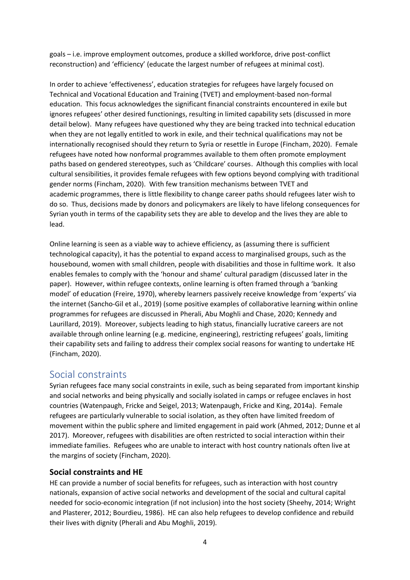goals – i.e. improve employment outcomes, produce a skilled workforce, drive post-conflict reconstruction) and 'efficiency' (educate the largest number of refugees at minimal cost).

In order to achieve 'effectiveness', education strategies for refugees have largely focused on Technical and Vocational Education and Training (TVET) and employment-based non-formal education. This focus acknowledges the significant financial constraints encountered in exile but ignores refugees' other desired functionings, resulting in limited capability sets (discussed in more detail below). Many refugees have questioned why they are being tracked into technical education when they are not legally entitled to work in exile, and their technical qualifications may not be internationally recognised should they return to Syria or resettle in Europe (Fincham, 2020). Female refugees have noted how nonformal programmes available to them often promote employment paths based on gendered stereotypes, such as 'Childcare' courses. Although this complies with local cultural sensibilities, it provides female refugees with few options beyond complying with traditional gender norms (Fincham, 2020). With few transition mechanisms between TVET and academic programmes, there is little flexibility to change career paths should refugees later wish to do so. Thus, decisions made by donors and policymakers are likely to have lifelong consequences for Syrian youth in terms of the capability sets they are able to develop and the lives they are able to lead.

Online learning is seen as a viable way to achieve efficiency, as (assuming there is sufficient technological capacity), it has the potential to expand access to marginalised groups, such as the housebound, women with small children, people with disabilities and those in fulltime work. It also enables females to comply with the 'honour and shame' cultural paradigm (discussed later in the paper). However, within refugee contexts, online learning is often framed through a 'banking model' of education (Freire, 1970), whereby learners passively receive knowledge from 'experts' via the internet (Sancho-Gil et al., 2019) (some positive examples of collaborative learning within online programmes for refugees are discussed in Pherali, Abu Moghli and Chase, 2020; Kennedy and Laurillard, 2019). Moreover, subjects leading to high status, financially lucrative careers are not available through online learning (e.g. medicine, engineering), restricting refugees' goals, limiting their capability sets and failing to address their complex social reasons for wanting to undertake HE (Fincham, 2020).

## Social constraints

Syrian refugees face many social constraints in exile, such as being separated from important kinship and social networks and being physically and socially isolated in camps or refugee enclaves in host countries (Watenpaugh, Fricke and Seigel, 2013; Watenpaugh, Fricke and King, 2014a). Female refugees are particularly vulnerable to social isolation, as they often have limited freedom of movement within the public sphere and limited engagement in paid work (Ahmed, 2012; Dunne et al 2017). Moreover, refugees with disabilities are often restricted to social interaction within their immediate families. Refugees who are unable to interact with host country nationals often live at the margins of society (Fincham, 2020).

### **Social constraints and HE**

HE can provide a number of social benefits for refugees, such as interaction with host country nationals, expansion of active social networks and development of the social and cultural capital needed for socio-economic integration (if not inclusion) into the host society (Sheehy, 2014; Wright and Plasterer, 2012; Bourdieu, 1986). HE can also help refugees to develop confidence and rebuild their lives with dignity (Pherali and Abu Moghli, 2019).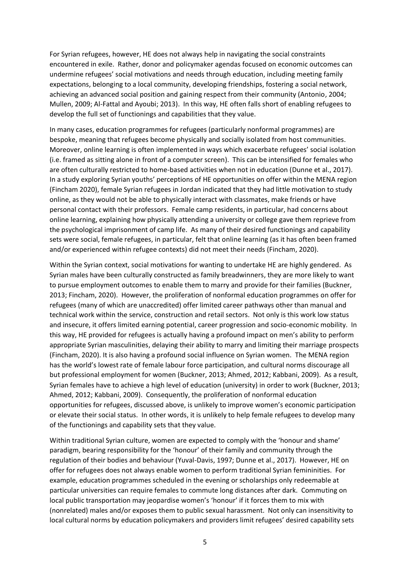For Syrian refugees, however, HE does not always help in navigating the social constraints encountered in exile. Rather, donor and policymaker agendas focused on economic outcomes can undermine refugees' social motivations and needs through education, including meeting family expectations, belonging to a local community, developing friendships, fostering a social network, achieving an advanced social position and gaining respect from their community (Antonio, 2004; Mullen, 2009; Al-Fattal and Ayoubi; 2013). In this way, HE often falls short of enabling refugees to develop the full set of functionings and capabilities that they value.

In many cases, education programmes for refugees (particularly nonformal programmes) are bespoke, meaning that refugees become physically and socially isolated from host communities. Moreover, online learning is often implemented in ways which exacerbate refugees' social isolation (i.e. framed as sitting alone in front of a computer screen). This can be intensified for females who are often culturally restricted to home-based activities when not in education (Dunne et al., 2017). In a study exploring Syrian youths' perceptions of HE opportunities on offer within the MENA region (Fincham 2020), female Syrian refugees in Jordan indicated that they had little motivation to study online, as they would not be able to physically interact with classmates, make friends or have personal contact with their professors. Female camp residents, in particular, had concerns about online learning, explaining how physically attending a university or college gave them reprieve from the psychological imprisonment of camp life. As many of their desired functionings and capability sets were social, female refugees, in particular, felt that online learning (as it has often been framed and/or experienced within refugee contexts) did not meet their needs (Fincham, 2020).

Within the Syrian context, social motivations for wanting to undertake HE are highly gendered. As Syrian males have been culturally constructed as family breadwinners, they are more likely to want to pursue employment outcomes to enable them to marry and provide for their families (Buckner, 2013; Fincham, 2020). However, the proliferation of nonformal education programmes on offer for refugees (many of which are unaccredited) offer limited career pathways other than manual and technical work within the service, construction and retail sectors. Not only is this work low status and insecure, it offers limited earning potential, career progression and socio-economic mobility. In this way, HE provided for refugees is actually having a profound impact on men's ability to perform appropriate Syrian masculinities, delaying their ability to marry and limiting their marriage prospects (Fincham, 2020). It is also having a profound social influence on Syrian women. The MENA region has the world's lowest rate of female labour force participation, and cultural norms discourage all but professional employment for women (Buckner, 2013; Ahmed, 2012; Kabbani, 2009). As a result, Syrian females have to achieve a high level of education (university) in order to work (Buckner, 2013; Ahmed, 2012; Kabbani, 2009). Consequently, the proliferation of nonformal education opportunities for refugees, discussed above, is unlikely to improve women's economic participation or elevate their social status. In other words, it is unlikely to help female refugees to develop many of the functionings and capability sets that they value.

Within traditional Syrian culture, women are expected to comply with the 'honour and shame' paradigm, bearing responsibility for the 'honour' of their family and community through the regulation of their bodies and behaviour (Yuval-Davis, 1997; Dunne et al., 2017). However, HE on offer for refugees does not always enable women to perform traditional Syrian femininities. For example, education programmes scheduled in the evening or scholarships only redeemable at particular universities can require females to commute long distances after dark. Commuting on local public transportation may jeopardise women's 'honour' if it forces them to mix with (nonrelated) males and/or exposes them to public sexual harassment. Not only can insensitivity to local cultural norms by education policymakers and providers limit refugees' desired capability sets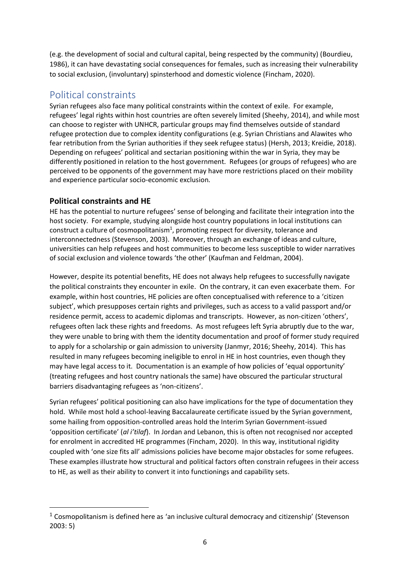(e.g. the development of social and cultural capital, being respected by the community) (Bourdieu, 1986), it can have devastating social consequences for females, such as increasing their vulnerability to social exclusion, (involuntary) spinsterhood and domestic violence (Fincham, 2020).

# Political constraints

Syrian refugees also face many political constraints within the context of exile. For example, refugees' legal rights within host countries are often severely limited (Sheehy, 2014), and while most can choose to register with UNHCR, particular groups may find themselves outside of standard refugee protection due to complex identity configurations (e.g. Syrian Christians and Alawites who fear retribution from the Syrian authorities if they seek refugee status) (Hersh, 2013; Kreidie, 2018). Depending on refugees' political and sectarian positioning within the war in Syria, they may be differently positioned in relation to the host government. Refugees (or groups of refugees) who are perceived to be opponents of the government may have more restrictions placed on their mobility and experience particular socio-economic exclusion.

### **Political constraints and HE**

HE has the potential to nurture refugees' sense of belonging and facilitate their integration into the host society. For example, studying alongside host country populations in local institutions can construct a culture of cosmopolitanism<sup>1</sup>, promoting respect for diversity, tolerance and interconnectedness (Stevenson, 2003). Moreover, through an exchange of ideas and culture, universities can help refugees and host communities to become less susceptible to wider narratives of social exclusion and violence towards 'the other' (Kaufman and Feldman, 2004).

However, despite its potential benefits, HE does not always help refugees to successfully navigate the political constraints they encounter in exile. On the contrary, it can even exacerbate them. For example, within host countries, HE policies are often conceptualised with reference to a 'citizen subject', which presupposes certain rights and privileges, such as access to a valid passport and/or residence permit, access to academic diplomas and transcripts. However, as non-citizen 'others', refugees often lack these rights and freedoms. As most refugees left Syria abruptly due to the war, they were unable to bring with them the identity documentation and proof of former study required to apply for a scholarship or gain admission to university (Janmyr, 2016; Sheehy, 2014). This has resulted in many refugees becoming ineligible to enrol in HE in host countries, even though they may have legal access to it. Documentation is an example of how policies of 'equal opportunity' (treating refugees and host country nationals the same) have obscured the particular structural barriers disadvantaging refugees as 'non-citizens'.

Syrian refugees' political positioning can also have implications for the type of documentation they hold. While most hold a school-leaving Baccalaureate certificate issued by the Syrian government, some hailing from opposition-controlled areas hold the Interim Syrian Government-issued 'opposition certificate' (*al i'tilaf*). In Jordan and Lebanon, this is often not recognised nor accepted for enrolment in accredited HE programmes (Fincham, 2020). In this way, institutional rigidity coupled with 'one size fits all' admissions policies have become major obstacles for some refugees. These examples illustrate how structural and political factors often constrain refugees in their access to HE, as well as their ability to convert it into functionings and capability sets.

<sup>1</sup> Cosmopolitanism is defined here as 'an inclusive cultural democracy and citizenship' (Stevenson 2003: 5)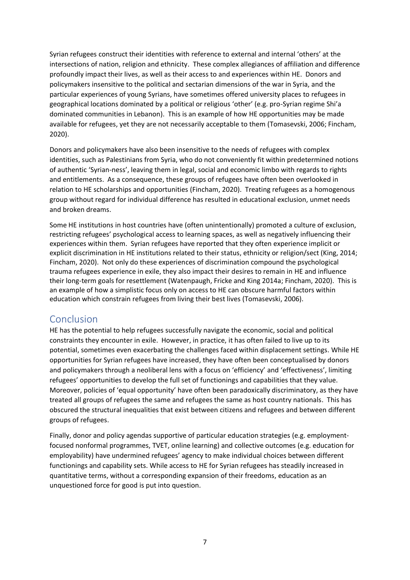Syrian refugees construct their identities with reference to external and internal 'others' at the intersections of nation, religion and ethnicity. These complex allegiances of affiliation and difference profoundly impact their lives, as well as their access to and experiences within HE. Donors and policymakers insensitive to the political and sectarian dimensions of the war in Syria, and the particular experiences of young Syrians, have sometimes offered university places to refugees in geographical locations dominated by a political or religious 'other' (e.g. pro-Syrian regime Shi'a dominated communities in Lebanon). This is an example of how HE opportunities may be made available for refugees, yet they are not necessarily acceptable to them (Tomasevski, 2006; Fincham, 2020).

Donors and policymakers have also been insensitive to the needs of refugees with complex identities, such as Palestinians from Syria, who do not conveniently fit within predetermined notions of authentic 'Syrian-ness', leaving them in legal, social and economic limbo with regards to rights and entitlements. As a consequence, these groups of refugees have often been overlooked in relation to HE scholarships and opportunities (Fincham, 2020). Treating refugees as a homogenous group without regard for individual difference has resulted in educational exclusion, unmet needs and broken dreams.

Some HE institutions in host countries have (often unintentionally) promoted a culture of exclusion, restricting refugees' psychological access to learning spaces, as well as negatively influencing their experiences within them. Syrian refugees have reported that they often experience implicit or explicit discrimination in HE institutions related to their status, ethnicity or religion/sect (King, 2014; Fincham, 2020). Not only do these experiences of discrimination compound the psychological trauma refugees experience in exile, they also impact their desires to remain in HE and influence their long-term goals for resettlement (Watenpaugh, Fricke and King 2014a; Fincham, 2020). This is an example of how a simplistic focus only on access to HE can obscure harmful factors within education which constrain refugees from living their best lives (Tomasevski, 2006).

### Conclusion

HE has the potential to help refugees successfully navigate the economic, social and political constraints they encounter in exile. However, in practice, it has often failed to live up to its potential, sometimes even exacerbating the challenges faced within displacement settings. While HE opportunities for Syrian refugees have increased, they have often been conceptualised by donors and policymakers through a neoliberal lens with a focus on 'efficiency' and 'effectiveness', limiting refugees' opportunities to develop the full set of functionings and capabilities that they value. Moreover, policies of 'equal opportunity' have often been paradoxically discriminatory, as they have treated all groups of refugees the same and refugees the same as host country nationals. This has obscured the structural inequalities that exist between citizens and refugees and between different groups of refugees.

Finally, donor and policy agendas supportive of particular education strategies (e.g. employmentfocused nonformal programmes, TVET, online learning) and collective outcomes (e.g. education for employability) have undermined refugees' agency to make individual choices between different functionings and capability sets. While access to HE for Syrian refugees has steadily increased in quantitative terms, without a corresponding expansion of their freedoms, education as an unquestioned force for good is put into question.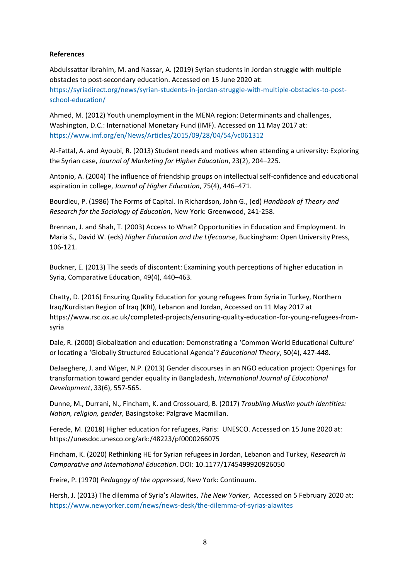#### **References**

Abdulssattar Ibrahim, M. and Nassar, A. (2019) Syrian students in Jordan struggle with multiple obstacles to post-secondary education. Accessed on 15 June 2020 at:

[https://syriadirect.org/news/syrian-students-in-jordan-struggle-with-multiple-obstacles-to-post](https://syriadirect.org/news/syrian-students-in-jordan-struggle-with-multiple-obstacles-to-post-school-education/)[school-education/](https://syriadirect.org/news/syrian-students-in-jordan-struggle-with-multiple-obstacles-to-post-school-education/)

Ahmed, M. (2012) Youth unemployment in the MENA region: Determinants and challenges, Washington, D.C.: International Monetary Fund (IMF). Accessed on 11 May 2017 at: <https://www.imf.org/en/News/Articles/2015/09/28/04/54/vc061312>

Al-Fattal, A. and Ayoubi, R. (2013) Student needs and motives when attending a university: Exploring the Syrian case, *Journal of Marketing for Higher Education*, 23(2), 204–225.

Antonio, A. (2004) The influence of friendship groups on intellectual self-confidence and educational aspiration in college, *Journal of Higher Education*, 75(4), 446–471.

Bourdieu, P. (1986) The Forms of Capital. In Richardson, John G., (ed) *Handbook of Theory and Research for the Sociology of Education*, New York: Greenwood, 241-258.

Brennan, J. and Shah, T. (2003) Access to What? Opportunities in Education and Employment. In Maria S., David W. (eds) *Higher Education and the Lifecourse*, Buckingham: Open University Press, 106-121.

Buckner, E. (2013) The seeds of discontent: Examining youth perceptions of higher education in Syria, Comparative Education, 49(4), 440–463.

Chatty, D. (2016) Ensuring Quality Education for young refugees from Syria in Turkey, Northern Iraq/Kurdistan Region of Iraq (KRI), Lebanon and Jordan, Accessed on 11 May 2017 at [https://www.rsc.ox.ac.uk/completed-projects/ensuring-quality-education-for-young-refugees-from](https://www.rsc.ox.ac.uk/completed-projects/ensuring-quality-education-for-young-refugees-from-syria)[syria](https://www.rsc.ox.ac.uk/completed-projects/ensuring-quality-education-for-young-refugees-from-syria)

Dale, R. (2000) Globalization and education: Demonstrating a 'Common World Educational Culture' or locating a 'Globally Structured Educational Agenda'? *Educational Theory*, 50(4), 427-448.

DeJaeghere, J. and Wiger, N.P. (2013) Gender discourses in an NGO education project: Openings for transformation toward gender equality in Bangladesh, *International Journal of Educational Development*, 33(6), 557-565.

Dunne, M., Durrani, N., Fincham, K. and Crossouard, B. (2017) *Troubling Muslim youth identities: Nation, religion, gender,* Basingstoke: Palgrave Macmillan.

Ferede, M. (2018) Higher education for refugees, Paris: UNESCO. Accessed on 15 June 2020 at: <https://unesdoc.unesco.org/ark:/48223/pf0000266075>

Fincham, K. (2020) Rethinking HE for Syrian refugees in Jordan, Lebanon and Turkey, *Research in Comparative and International Education*. DOI: 10.1177/1745499920926050

Freire, P. (1970) *Pedagogy of the oppressed*, New York: Continuum.

Hersh, J. (2013) The dilemma of Syria's Alawites, *The New Yorker*, Accessed on 5 February 2020 at: <https://www.newyorker.com/news/news-desk/the-dilemma-of-syrias-alawites>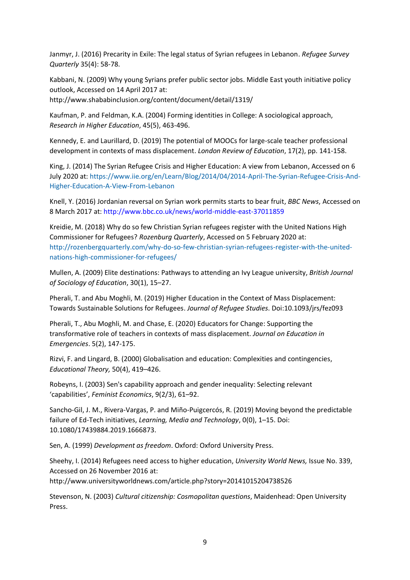Janmyr, J. (2016) Precarity in Exile: The legal status of Syrian refugees in Lebanon. *Refugee Survey Quarterly* 35(4): 58-78.

Kabbani, N. (2009) Why young Syrians prefer public sector jobs. Middle East youth initiative policy outlook, Accessed on 14 April 2017 at:

<http://www.shababinclusion.org/content/document/detail/1319/>

Kaufman, P. and Feldman, K.A. (2004) Forming identities in College: A sociological approach, *Research in Higher Education*, 45(5), 463-496.

Kennedy, E. and Laurillard, D. (2019) The potential of MOOCs for large-scale teacher professional development in contexts of mass displacement. *London Review of Education*, 17(2), pp. 141-158.

King, J. (2014) The Syrian Refugee Crisis and Higher Education: A view from Lebanon, Accessed on 6 July 2020 at: [https://www.iie.org/en/Learn/Blog/2014/04/2014-April-The-Syrian-Refugee-Crisis-And-](https://www.iie.org/en/Learn/Blog/2014/04/2014-April-The-Syrian-Refugee-Crisis-And-Higher-Education-A-View-From-Lebanon)[Higher-Education-A-View-From-Lebanon](https://www.iie.org/en/Learn/Blog/2014/04/2014-April-The-Syrian-Refugee-Crisis-And-Higher-Education-A-View-From-Lebanon)

Knell, Y. (2016) Jordanian reversal on Syrian work permits starts to bear fruit, *BBC News*, Accessed on 8 March 2017 at: <http://www.bbc.co.uk/news/world-middle-east-37011859>

Kreidie, M. (2018) Why do so few Christian Syrian refugees register with the United Nations High Commissioner for Refugees? *Rozenburg Quarterly*, Accessed on 5 February 2020 at: [http://rozenbergquarterly.com/why-do-so-few-christian-syrian-refugees-register-with-the-united](http://rozenbergquarterly.com/why-do-so-few-christian-syrian-refugees-register-with-the-united-nations-high-commissioner-for-refugees/)[nations-high-commissioner-for-refugees/](http://rozenbergquarterly.com/why-do-so-few-christian-syrian-refugees-register-with-the-united-nations-high-commissioner-for-refugees/)

Mullen, A. (2009) Elite destinations: Pathways to attending an Ivy League university, *British Journal of Sociology of Education*, 30(1), 15–27.

Pherali, T. and Abu Moghli, M. (2019) Higher Education in the Context of Mass Displacement: Towards Sustainable Solutions for Refugees. *Journal of Refugee Studies*. Doi:10.1093/jrs/fez093

Pherali, T., Abu Moghli, M. and Chase, E. (2020) Educators for Change: Supporting the transformative role of teachers in contexts of mass displacement. *Journal on Education in Emergencies*. 5(2), 147-175.

Rizvi, F. and Lingard, B. (2000) Globalisation and education: Complexities and contingencies, *Educational Theory,* 50(4), 419–426.

Robeyns, I. (2003) Sen's capability approach and gender inequality: Selecting relevant 'capabilities', *Feminist Economics*, 9(2/3), 61–92.

Sancho-Gil, J. M., Rivera-Vargas, P. and Miño-Puigcercós, R. (2019) Moving beyond the predictable failure of Ed-Tech initiatives, *Learning, Media and Technology*, 0(0), 1–15. Doi: 10.1080/17439884.2019.1666873.

Sen, A. (1999) *Development as freedom*. Oxford: Oxford University Press.

Sheehy, I. (2014) Refugees need access to higher education, *University World News,* Issue No. 339, Accessed on 26 November 2016 at:

<http://www.universityworldnews.com/article.php?story=20141015204738526>

Stevenson, N. (2003) *Cultural citizenship: Cosmopolitan questions*, Maidenhead: Open University Press.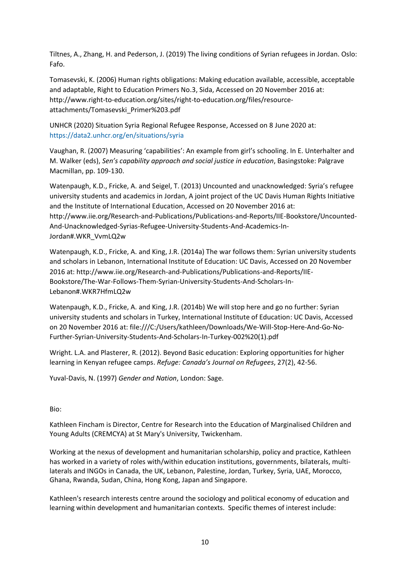Tiltnes, A., Zhang, H. and Pederson, J. (2019) The living conditions of Syrian refugees in Jordan. Oslo: Fafo.

Tomasevski, K. (2006) Human rights obligations: Making education available, accessible, acceptable and adaptable, Right to Education Primers No.3, Sida, Accessed on 20 November 2016 at: [http://www.right-to-education.org/sites/right-to-education.org/files/resource](http://www.right-to-education.org/sites/right-to-education.org/files/resource-attachments/Tomasevski_Primer%203.pdf)[attachments/Tomasevski\\_Primer%203.pdf](http://www.right-to-education.org/sites/right-to-education.org/files/resource-attachments/Tomasevski_Primer%203.pdf)

UNHCR (2020) Situation Syria Regional Refugee Response, Accessed on 8 June 2020 at: <https://data2.unhcr.org/en/situations/syria>

Vaughan, R. (2007) Measuring 'capabilities': An example from girl's schooling. In E. Unterhalter and M. Walker (eds), *Sen's capability approach and social justice in education*, Basingstoke: Palgrave Macmillan, pp. 109-130.

Watenpaugh, K.D., Fricke, A. and Seigel, T. (2013) Uncounted and unacknowledged: Syria's refugee university students and academics in Jordan, A joint project of the UC Davis Human Rights Initiative and the Institute of International Education, Accessed on 20 November 2016 at: [http://www.iie.org/Research-and-Publications/Publications-and-Reports/IIE-Bookstore/Uncounted-](http://www.iie.org/Research-and-Publications/Publications-and-Reports/IIE-Bookstore/Uncounted-And-Unacknowledged-Syrias-Refugee-University-Students-And-Academics-In-Jordan#.WKR_VvmLQ2w)[And-Unacknowledged-Syrias-Refugee-University-Students-And-Academics-In-](http://www.iie.org/Research-and-Publications/Publications-and-Reports/IIE-Bookstore/Uncounted-And-Unacknowledged-Syrias-Refugee-University-Students-And-Academics-In-Jordan#.WKR_VvmLQ2w)[Jordan#.WKR\\_VvmLQ2w](http://www.iie.org/Research-and-Publications/Publications-and-Reports/IIE-Bookstore/Uncounted-And-Unacknowledged-Syrias-Refugee-University-Students-And-Academics-In-Jordan#.WKR_VvmLQ2w)

Watenpaugh, K.D., Fricke, A. and King, J.R. (2014a) The war follows them: Syrian university students and scholars in Lebanon, International Institute of Education: UC Davis, Accessed on 20 November 2016 at: [http://www.iie.org/Research-and-Publications/Publications-and-Reports/IIE-](http://www.iie.org/Research-and-Publications/Publications-and-Reports/IIE-Bookstore/The-War-Follows-Them-Syrian-University-Students-And-Scholars-In-Lebanon#.WKR7HfmLQ2w)[Bookstore/The-War-Follows-Them-Syrian-University-Students-And-Scholars-In-](http://www.iie.org/Research-and-Publications/Publications-and-Reports/IIE-Bookstore/The-War-Follows-Them-Syrian-University-Students-And-Scholars-In-Lebanon#.WKR7HfmLQ2w)[Lebanon#.WKR7HfmLQ2w](http://www.iie.org/Research-and-Publications/Publications-and-Reports/IIE-Bookstore/The-War-Follows-Them-Syrian-University-Students-And-Scholars-In-Lebanon#.WKR7HfmLQ2w)

Watenpaugh, K.D., Fricke, A. and King, J.R. (2014b) We will stop here and go no further: Syrian university students and scholars in Turkey, International Institute of Education: UC Davis, Accessed on 20 November 2016 at: [file:///C:/Users/kathleen/Downloads/We-Will-Stop-Here-And-Go-No-](file:///C:/Users/kathleen/Downloads/We-Will-Stop-Here-And-Go-No-Further-Syrian-University-Students-And-Scholars-In-Turkey-002%20(1).pdf)[Further-Syrian-University-Students-And-Scholars-In-Turkey-002%20\(1\).pdf](file:///C:/Users/kathleen/Downloads/We-Will-Stop-Here-And-Go-No-Further-Syrian-University-Students-And-Scholars-In-Turkey-002%20(1).pdf)

Wright. L.A. and Plasterer, R. (2012). Beyond Basic education: Exploring opportunities for higher learning in Kenyan refugee camps. *Refuge: Canada's Journal on Refugees*, 27(2), 42-56.

Yuval-Davis, N. (1997) *Gender and Nation*, London: Sage.

Bio:

Kathleen Fincham is Director, Centre for Research into the Education of Marginalised Children and Young Adults (CREMCYA) at St Mary's University, Twickenham.

Working at the nexus of development and humanitarian scholarship, policy and practice, Kathleen has worked in a variety of roles with/within education institutions, governments, bilaterals, multilaterals and INGOs in Canada, the UK, Lebanon, Palestine, Jordan, Turkey, Syria, UAE, Morocco, Ghana, Rwanda, Sudan, China, Hong Kong, Japan and Singapore.

Kathleen's research interests centre around the sociology and political economy of education and learning within development and humanitarian contexts. Specific themes of interest include: